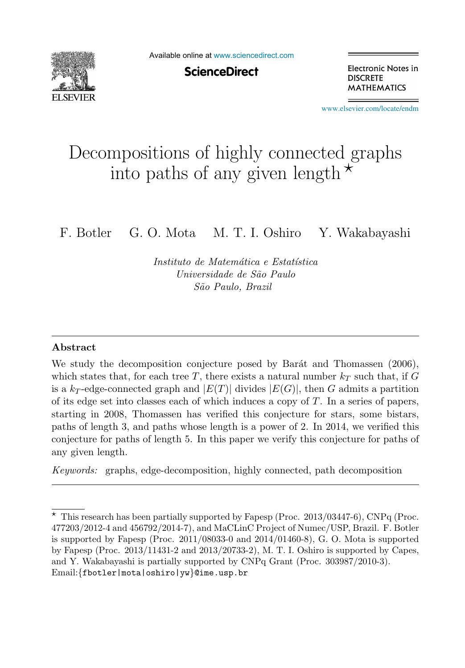

Available online at [www.sciencedirect.com](http://www.sciencedirect.com)

**ScienceDirect** 

Electronic Notes in **DISCRETE MATHEMATICS** 

[www.elsevier.com/locate/endm](http://www.elsevier.com/locate/endm)

# Decompositions of highly connected graphs informalized a matrix connected  $\frac{1}{2}$

F. Botler G. O. Mota M. T. I. Oshiro Y. Wakabayashi

Instituto de Matemática e Estatística Universidade de São Paulo S˜ao Paulo, Brazil

#### **Abstract**

We study the decomposition conjecture posed by Barát and Thomassen (2006), which states that, for each tree T, there exists a natural number  $k_T$  such that, if G is a  $k_T$ -edge-connected graph and  $|E(T)|$  divides  $|E(G)|$ , then G admits a partition of its edge set into classes each of which induces a copy of  $T$ . In a series of papers, starting in 2008, Thomassen has verified this conjecture for stars, some bistars, paths of length 3, and paths whose length is a power of 2. In 2014, we verified this conjecture for paths of length 5. In this paper we verify this conjecture for paths of any given length.

Keywords: graphs, edge-decomposition, highly connected, path decomposition

 $\overline{\star}$  This research has been partially supported by Fapesp (Proc. 2013/03447-6), CNPq (Proc. 477203/2012-4 and 456792/2014-7), and MaCLinC Project of Numec/USP, Brazil. F. Botler is supported by Fapesp (Proc. 2011/08033-0 and 2014/01460-8), G. O. Mota is supported by Fapesp (Proc. 2013/11431-2 and 2013/20733-2), M. T. I. Oshiro is supported by Capes, and Y. Wakabayashi is partially supported by CNPq Grant (Proc. 303987/2010-3). Email:{fbotler|mota|oshiro|yw}@ime.usp.br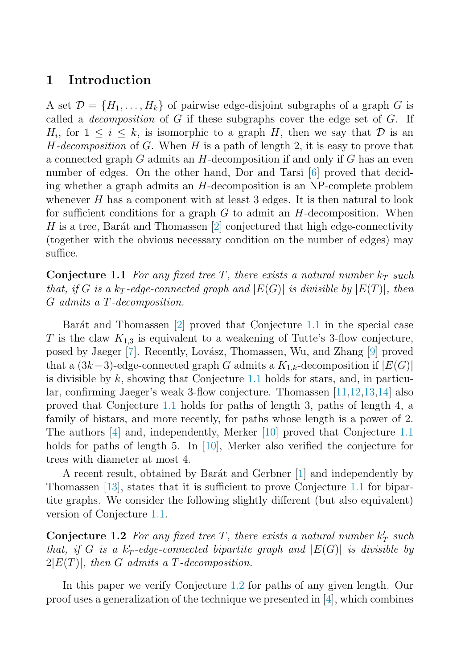#### **1 Introduction**

A set  $\mathcal{D} = \{H_1, \ldots, H_k\}$  of pairwise edge-disjoint subgraphs of a graph G is called a *decomposition* of  $G$  if these subgraphs cover the edge set of  $G$ . If  $H_i$ , for  $1 \leq i \leq k$ , is isomorphic to a graph H, then we say that D is an  $H$ -decomposition of G. When H is a path of length 2, it is easy to prove that a connected graph G admits an  $H$ -decomposition if and only if G has an even number of edges. On the other hand, Dor and Tarsi [\[6\]](#page-7-0) proved that deciding whether a graph admits an H-decomposition is an NP-complete problem whenever  $H$  has a component with at least 3 edges. It is then natural to look for sufficient conditions for a graph  $G$  to admit an  $H$ -decomposition. When H is a tree, Barát and Thomassen  $[2]$  conjectured that high edge-connectivity (together with the obvious necessary condition on the number of edges) may suffice.

**Conjecture 1.1** For any fixed tree T, there exists a natural number  $k_T$  such that, if G is a  $k_T$ -edge-connected graph and  $|E(G)|$  is divisible by  $|E(T)|$ , then G admits a T-decomposition.

Barát and Thomassen  $[2]$  proved that Conjecture 1.1 in the special case T is the claw  $K_{1,3}$  is equivalent to a weakening of Tutte's 3-flow conjecture, posed by Jaeger [\[7\]](#page-7-0). Recently, Lovász, Thomassen, Wu, and Zhang [\[9\]](#page-7-0) proved that a  $(3k-3)$ -edge-connected graph G admits a  $K_{1,k}$ -decomposition if  $|E(G)|$ is divisible by  $k$ , showing that Conjecture 1.1 holds for stars, and, in particular, confirming Jaeger's weak 3-flow conjecture. Thomassen [\[11,12,13,14\]](#page-7-0) also proved that Conjecture 1.1 holds for paths of length 3, paths of length 4, a family of bistars, and more recently, for paths whose length is a power of 2. The authors [\[4\]](#page-7-0) and, independently, Merker [\[10\]](#page-7-0) proved that Conjecture 1.1 holds for paths of length 5. In [\[10\]](#page-7-0), Merker also verified the conjecture for trees with diameter at most 4.

A recent result, obtained by Barát and Gerbner [\[1\]](#page-7-0) and independently by Thomassen [\[13\]](#page-7-0), states that it is sufficient to prove Conjecture 1.1 for bipartite graphs. We consider the following slightly different (but also equivalent) version of Conjecture 1.1.

**Conjecture 1.2** For any fixed tree  $T$ , there exists a natural number  $k'_T$  such that, if G is a  $k'_T$ -edge-connected bipartite graph and  $|E(G)|$  is divisible by  $2|E(T)|$ , then G admits a T-decomposition.

In this paper we verify Conjecture 1.2 for paths of any given length. Our proof uses a generalization of the technique we presented in [\[4\]](#page-7-0), which combines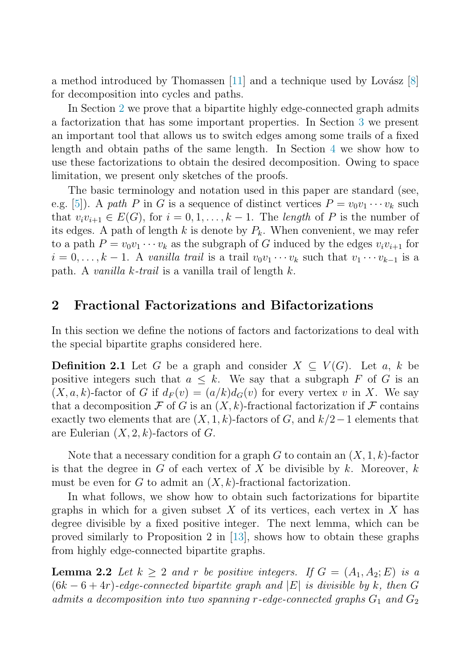<span id="page-2-0"></span>a method introduced by Thomassen  $[11]$  and a technique used by Lovász  $[8]$ for decomposition into cycles and paths.

In Section 2 we prove that a bipartite highly edge-connected graph admits a factorization that has some important properties. In Section [3](#page-3-0) we present an important tool that allows us to switch edges among some trails of a fixed length and obtain paths of the same length. In Section [4](#page-4-0) we show how to use these factorizations to obtain the desired decomposition. Owing to space limitation, we present only sketches of the proofs.

The basic terminology and notation used in this paper are standard (see, e.g. [\[5\]](#page-7-0)). A path P in G is a sequence of distinct vertices  $P = v_0v_1 \cdots v_k$  such that  $v_i v_{i+1} \in E(G)$ , for  $i = 0, 1, ..., k-1$ . The length of P is the number of its edges. A path of length k is denote by  $P_k$ . When convenient, we may refer to a path  $P = v_0v_1 \cdots v_k$  as the subgraph of G induced by the edges  $v_i v_{i+1}$  for  $i = 0, \ldots, k - 1$ . A vanilla trail is a trail  $v_0v_1 \cdots v_k$  such that  $v_1 \cdots v_{k-1}$  is a path. A vanilla k-trail is a vanilla trail of length  $k$ .

## **2 Fractional Factorizations and Bifactorizations**

In this section we define the notions of factors and factorizations to deal with the special bipartite graphs considered here.

**Definition 2.1** Let G be a graph and consider  $X \subseteq V(G)$ . Let a, k be positive integers such that  $a \leq k$ . We say that a subgraph F of G is an  $(X, a, k)$ -factor of G if  $d_F(v)=(a/k)d_G(v)$  for every vertex v in X. We say that a decomposition F of G is an  $(X, k)$ -fractional factorization if F contains exactly two elements that are  $(X, 1, k)$ -factors of G, and  $k/2-1$  elements that are Eulerian  $(X, 2, k)$ -factors of G.

Note that a necessary condition for a graph  $G$  to contain an  $(X, 1, k)$ -factor is that the degree in G of each vertex of X be divisible by k. Moreover, k must be even for G to admit an  $(X, k)$ -fractional factorization.

In what follows, we show how to obtain such factorizations for bipartite graphs in which for a given subset X of its vertices, each vertex in X has degree divisible by a fixed positive integer. The next lemma, which can be proved similarly to Proposition 2 in [\[13\]](#page-7-0), shows how to obtain these graphs from highly edge-connected bipartite graphs.

**Lemma 2.2** Let  $k \geq 2$  and r be positive integers. If  $G = (A_1, A_2; E)$  is a  $(6k-6+4r)$ -edge-connected bipartite graph and |E| is divisible by k, then G admits a decomposition into two spanning r-edge-connected graphs  $G_1$  and  $G_2$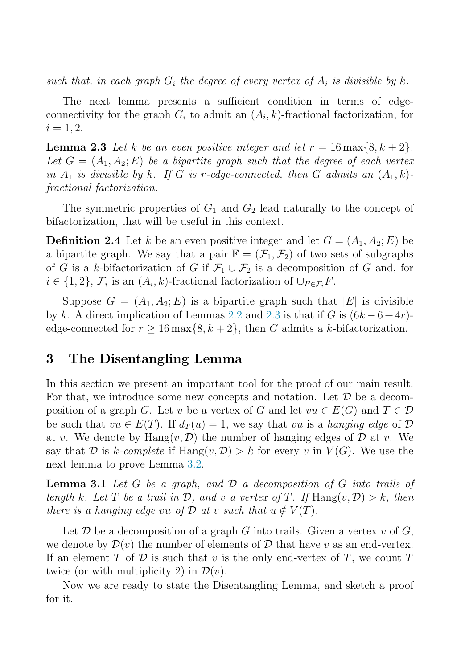<span id="page-3-0"></span>such that, in each graph  $G_i$  the degree of every vertex of  $A_i$  is divisible by k.

The next lemma presents a sufficient condition in terms of edgeconnectivity for the graph  $G_i$  to admit an  $(A_i, k)$ -fractional factorization, for  $i = 1, 2.$ 

**Lemma 2.3** Let k be an even positive integer and let  $r = 16 \text{ max} \{8, k + 2\}$ . Let  $G = (A_1, A_2; E)$  be a bipartite graph such that the degree of each vertex in  $A_1$  is divisible by k. If G is r-edge-connected, then G admits an  $(A_1, k)$ fractional factorization.

The symmetric properties of  $G_1$  and  $G_2$  lead naturally to the concept of bifactorization, that will be useful in this context.

**Definition 2.4** Let k be an even positive integer and let  $G = (A_1, A_2; E)$  be a bipartite graph. We say that a pair  $\mathbb{F} = (\mathcal{F}_1, \mathcal{F}_2)$  of two sets of subgraphs of G is a k-bifactorization of G if  $\mathcal{F}_1 \cup \mathcal{F}_2$  is a decomposition of G and, for  $i \in \{1, 2\}, \mathcal{F}_i$  is an  $(A_i, k)$ -fractional factorization of  $\cup_{F \in \mathcal{F}_i} F$ .

Suppose  $G = (A_1, A_2; E)$  is a bipartite graph such that  $|E|$  is divisible by k. A direct implication of Lemmas [2.2](#page-2-0) and 2.3 is that if G is  $(6k-6+4r)$ edge-connected for  $r \geq 16 \max\{8, k+2\}$ , then G admits a k-bifactorization.

# **3 The Disentangling Lemma**

In this section we present an important tool for the proof of our main result. For that, we introduce some new concepts and notation. Let  $\mathcal D$  be a decomposition of a graph G. Let v be a vertex of G and let  $vu \in E(G)$  and  $T \in \mathcal{D}$ be such that  $vu \in E(T)$ . If  $d_T(u) = 1$ , we say that vu is a hanging edge of D at v. We denote by  $\text{Hang}(v, \mathcal{D})$  the number of hanging edges of  $\mathcal D$  at v. We say that D is k-complete if  $\text{Hang}(v, \mathcal{D}) > k$  for every v in  $V(G)$ . We use the next lemma to prove Lemma 3.2.

**Lemma 3.1** Let  $G$  be a graph, and  $D$  a decomposition of  $G$  into trails of length k. Let T be a trail in  $\mathcal{D}$ , and v a vertex of T. If Hang $(v, \mathcal{D}) > k$ , then there is a hanging edge vu of  $\mathcal D$  at v such that  $u \notin V(T)$ .

Let  $\mathcal D$  be a decomposition of a graph G into trails. Given a vertex  $v$  of  $G$ , we denote by  $\mathcal{D}(v)$  the number of elements of D that have v as an end-vertex. If an element T of D is such that v is the only end-vertex of T, we count T twice (or with multiplicity 2) in  $\mathcal{D}(v)$ .

Now we are ready to state the Disentangling Lemma, and sketch a proof for it.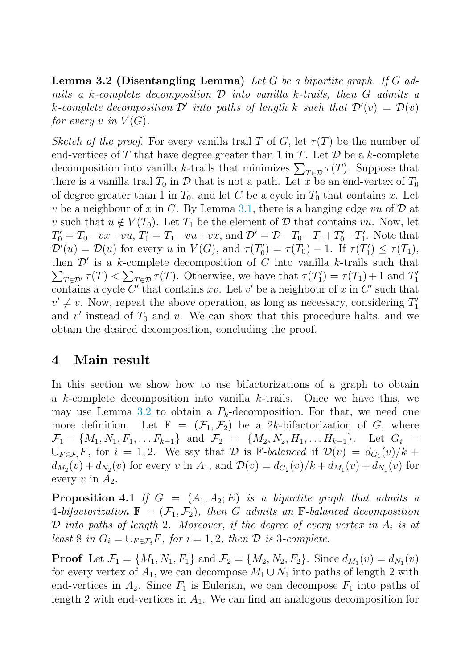<span id="page-4-0"></span>**Lemma 3.2 (Disentangling Lemma)** Let G be a bipartite graph. If G admits a k-complete decomposition  $\mathcal D$  into vanilla k-trails, then  $G$  admits a k-complete decomposition  $\mathcal{D}'$  into paths of length k such that  $\mathcal{D}'(v) = \mathcal{D}(v)$ for every v in  $V(G)$ .

Sketch of the proof. For every vanilla trail T of G, let  $\tau(T)$  be the number of end-vertices of T that have degree greater than 1 in T. Let  $\mathcal D$  be a k-complete decomposition into vanilla k-trails that minimizes  $\sum_{T \in \mathcal{D}} \tau(T)$ . Suppose that there is a vanilla trail  $T_0$  in  $\mathcal D$  that is not a path. Let x be an end-vertex of  $T_0$ of degree greater than 1 in  $T_0$ , and let C be a cycle in  $T_0$  that contains x. Let v be a neighbour of x in C. By Lemma [3.1,](#page-3-0) there is a hanging edge vu of  $\mathcal D$  at v such that  $u \notin V(T_0)$ . Let  $T_1$  be the element of D that contains vu. Now, let  $T'_0 = T_0 - vx + vu$ ,  $T'_1 = T_1 - vu + vx$ , and  $\mathcal{D}' = \mathcal{D} - T_0 - T_1 + T'_0 + T'_1$ . Note that  $\mathcal{D}'(u) = \mathcal{D}(u)$  for every u in  $V(G)$ , and  $\tau(T'_0) = \tau(T_0) - 1$ . If  $\tau(T'_1) \leq \tau(T_1)$ , then  $\mathcal{D}'$  is a k-complete decomposition of G into vanilla k-trails such that  $\sum_{T \in \mathcal{D}'} \tau(T) < \sum_{T \in \mathcal{D}} \tau(T)$ . Otherwise, we have that  $\tau(T_1') = \tau(T_1) + 1$  and  $T_1'$ contains a cycle C' that contains xv. Let v' be a neighbour of x in C' such that  $v' \neq v$ . Now, repeat the above operation, as long as necessary, considering  $T_1'$ and  $v'$  instead of  $T_0$  and v. We can show that this procedure halts, and we obtain the desired decomposition, concluding the proof.

# **4 Main result**

In this section we show how to use bifactorizations of a graph to obtain a  $k$ -complete decomposition into vanilla  $k$ -trails. Once we have this, we may use Lemma [3.2](#page-3-0) to obtain a  $P_k$ -decomposition. For that, we need one more definition. Let  $\mathbb{F} = (\mathcal{F}_1, \mathcal{F}_2)$  be a 2k-bifactorization of G, where  $\mathcal{F}_1 = \{M_1, N_1, F_1, \ldots F_{k-1}\}\$ and  $\mathcal{F}_2 = \{M_2, N_2, H_1, \ldots H_{k-1}\}\$ . Let  $G_i =$  $\bigcup_{F \in \mathcal{F}_i} F$ , for  $i = 1, 2$ . We say that  $\mathcal{D}$  is F-balanced if  $\mathcal{D}(v) = d_{G_1}(v)/k +$  $d_{M_2}(v) + d_{N_2}(v)$  for every v in  $A_1$ , and  $\mathcal{D}(v) = d_{G_2}(v)/k + d_{M_1}(v) + d_{N_1}(v)$  for every v in  $A_2$ .

**Proposition 4.1** If  $G = (A_1, A_2; E)$  is a bipartite graph that admits a 4-bifactorization  $\mathbb{F} = (\mathcal{F}_1, \mathcal{F}_2)$ , then G admits an F-balanced decomposition  $\mathcal D$  into paths of length 2. Moreover, if the degree of every vertex in  $A_i$  is at least 8 in  $G_i = \bigcup_{F \in \mathcal{F}_i} F$ , for  $i = 1, 2$ , then  $\mathcal D$  is 3-complete.

**Proof** Let  $\mathcal{F}_1 = \{M_1, N_1, F_1\}$  and  $\mathcal{F}_2 = \{M_2, N_2, F_2\}$ . Since  $d_{M_1}(v) = d_{N_1}(v)$ for every vertex of  $A_1$ , we can decompose  $M_1 \cup N_1$  into paths of length 2 with end-vertices in  $A_2$ . Since  $F_1$  is Eulerian, we can decompose  $F_1$  into paths of length 2 with end-vertices in  $A_1$ . We can find an analogous decomposition for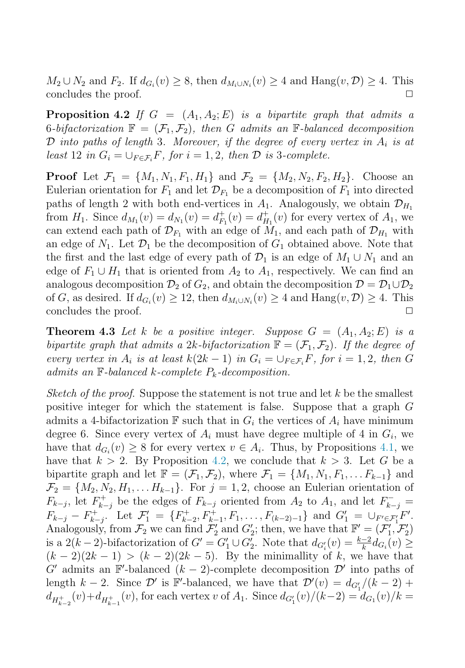<span id="page-5-0"></span> $M_2 \cup N_2$  and  $F_2$ . If  $d_{G_i}(v) \geq 8$ , then  $d_{M_i \cup N_i}(v) \geq 4$  and  $\text{Hang}(v, \mathcal{D}) \geq 4$ . This concludes the proof concludes the proof.

**Proposition 4.2** If  $G = (A_1, A_2; E)$  is a bipartite graph that admits a 6-bifactorization  $\mathbb{F} = (\mathcal{F}_1, \mathcal{F}_2)$ , then G admits an F-balanced decomposition  $\mathcal D$  into paths of length 3. Moreover, if the degree of every vertex in  $A_i$  is at least 12 in  $G_i = \bigcup_{F \in \mathcal{F}_i} F$ , for  $i = 1, 2$ , then  $\mathcal D$  is 3-complete.

**Proof** Let  $\mathcal{F}_1 = \{M_1, N_1, F_1, H_1\}$  and  $\mathcal{F}_2 = \{M_2, N_2, F_2, H_2\}$ . Choose an Eulerian orientation for  $F_1$  and let  $\mathcal{D}_{F_1}$  be a decomposition of  $F_1$  into directed paths of length 2 with both end-vertices in  $A_1$ . Analogously, we obtain  $\mathcal{D}_{H_1}$ from  $H_1$ . Since  $d_{M_1}(v) = d_{N_1}(v) = d_{F_1}^+(v) = d_{H_1}^+(v)$  for every vertex of  $A_1$ , we can extend each path of  $\mathcal{D}_{F_1}$  with an edge of  $M_1$ , and each path of  $\mathcal{D}_{H_1}$  with an edge of  $N_1$ . Let  $\mathcal{D}_1$  be the decomposition of  $G_1$  obtained above. Note that the first and the last edge of every path of  $\mathcal{D}_1$  is an edge of  $M_1 \cup N_1$  and an edge of  $F_1 \cup H_1$  that is oriented from  $A_2$  to  $A_1$ , respectively. We can find an analogous decomposition  $\mathcal{D}_2$  of  $G_2$ , and obtain the decomposition  $\mathcal{D} = \mathcal{D}_1 \cup \mathcal{D}_2$ of G, as desired. If  $d_{G_i}(v) \ge 12$ , then  $d_{M_i \cup N_i}(v) \ge 4$  and  $\text{Hang}(v, \mathcal{D}) \ge 4$ . This concludes the proof concludes the proof.

**Theorem 4.3** Let k be a positive integer. Suppose  $G = (A_1, A_2; E)$  is a bipartite graph that admits a 2k-bifactorization  $\mathbb{F} = (\mathcal{F}_1, \mathcal{F}_2)$ . If the degree of every vertex in  $A_i$  is at least  $k(2k-1)$  in  $G_i = \bigcup_{F \in \mathcal{F}_i} F$ , for  $i = 1, 2$ , then G admits an  $\mathbb F$ -balanced k-complete  $P_k$ -decomposition.

Sketch of the proof. Suppose the statement is not true and let  $k$  be the smallest positive integer for which the statement is false. Suppose that a graph G admits a 4-bifactorization  $\mathbb F$  such that in  $G_i$  the vertices of  $A_i$  have minimum degree 6. Since every vertex of  $A_i$  must have degree multiple of 4 in  $G_i$ , we have that  $d_{G_i}(v) \geq 8$  for every vertex  $v \in A_i$ . Thus, by Propositions [4.1,](#page-4-0) we have that  $k > 2$ . By Proposition 4.2, we conclude that  $k > 3$ . Let G be a bipartite graph and let  $\mathbb{F} = (\mathcal{F}_1, \mathcal{F}_2)$ , where  $\mathcal{F}_1 = \{M_1, N_1, F_1, \ldots F_{k-1}\}\$  and  $\mathcal{F}_2 = \{M_2, N_2, H_1, \ldots H_{k-1}\}.$  For  $j = 1, 2$ , choose an Eulerian orientation of  $F_{k-j}$ , let  $F_{k-j}^+$  be the edges of  $F_{k-j}$  oriented from  $A_2$  to  $A_1$ , and let  $F_{k-j}^ F_{k-j} - F_{k-j}^+$  Let  $\mathcal{F}_1' = \{F_{k-2}^+, F_{k-1}^+, F_1, \ldots, F_{(k-2)-1}\}\$  and  $G_1' = \bigcup_{F' \in \mathcal{F}_1'} F'$ . Analogously, from  $\mathcal{F}_2$  we can find  $\mathcal{F}'_2$  and  $G'_2$ ; then, we have that  $\mathbb{F}' = (\mathcal{F}'_1, \mathcal{F}'_2)$ is a  $2(k-2)$ -bifactorization of  $G' = G'_1 \cup G'_2$ . Note that  $d_{G'_i}(v) = \frac{k-2}{k} d_{G_i}(v) \ge$  $(k-2)(2k-1) > (k-2)(2k-5)$ . By the minimallity of k, we have that  $G'$  admits an F-balanced  $(k-2)$ -complete decomposition  $\mathcal{D}'$  into paths of length  $k-2$ . Since  $\mathcal{D}'$  is F'-balanced, we have that  $\mathcal{D}'(v) = d_{G'_1}/(k-2)$  +  $d_{H_{k-2}^+}(v) + d_{H_{k-1}^+}(v)$ , for each vertex v of  $A_1$ . Since  $d_{G_1'}(v)/(k-2) = d_{G_1}(v)/k =$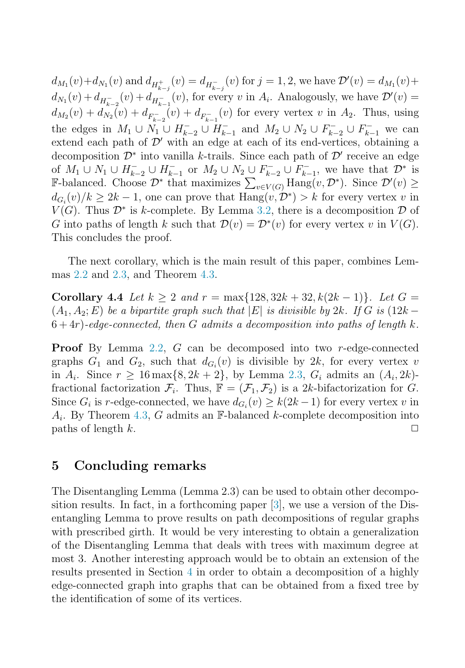$d_{M_1}(v) + d_{N_1}(v)$  and  $d_{H_{k-j}^+}(v) = d_{H_{k-j}^-}(v)$  for  $j = 1, 2$ , we have  $\mathcal{D}'(v) = d_{M_1}(v) + d_{M_1}(v)$  $d_{N_1}(v) + d_{H_{k-2}^-}(v) + d_{H_{k-1}^-}(v)$ , for every v in  $A_i$ . Analogously, we have  $\mathcal{D}'(v) =$  $d_{M_2}(v) + d_{N_2}(v) + d_{F_{k-2}}(v) + d_{F_{k-1}}(v)$  for every vertex v in  $A_2$ . Thus, using the edges in  $M_1 \cup N_1 \cup H_{k-2}^- \cup H_{k-1}^-$  and  $M_2 \cup N_2 \cup F_{k-2}^- \cup F_{k-1}^-$  we can extend each path of  $\mathcal{D}'$  with an edge at each of its end-vertices, obtaining a decomposition  $\mathcal{D}^*$  into vanilla k-trails. Since each path of  $\mathcal{D}'$  receive an edge of  $M_1 \cup N_1 \cup H_{k-2}^- \cup H_{k-1}^-$  or  $M_2 \cup N_2 \cup F_{k-2}^- \cup F_{k-1}^-$ , we have that  $\mathcal{D}^*$  is F-balanced. Choose  $\mathcal{D}^*$  that maximizes  $\sum_{v \in V(G)} \text{Hang}(v, \mathcal{D}^*)$ . Since  $\mathcal{D}'(v) \ge$  $d_{G_i}(v)/k \geq 2k-1$ , one can prove that  $\text{Hang}(v, \mathcal{D}^*) > k$  for every vertex v in  $V(G)$ . Thus  $\mathcal{D}^*$  is k-complete. By Lemma [3.2,](#page-3-0) there is a decomposition  $\mathcal D$  of G into paths of length k such that  $\mathcal{D}(v) = \mathcal{D}^*(v)$  for every vertex v in  $V(G)$ . This concludes the proof.

The next corollary, which is the main result of this paper, combines Lemmas [2.2](#page-2-0) and [2.3,](#page-3-0) and Theorem [4.3.](#page-5-0)

**Corollary 4.4** Let  $k \geq 2$  and  $r = \max\{128, 32k + 32, k(2k-1)\}\$ . Let  $G =$  $(A_1, A_2; E)$  be a bipartite graph such that  $|E|$  is divisible by 2k. If G is (12k –  $6+4r$ )-edge-connected, then G admits a decomposition into paths of length k.

**Proof** By Lemma [2.2,](#page-2-0) G can be decomposed into two r-edge-connected graphs  $G_1$  and  $G_2$ , such that  $d_{G_i}(v)$  is divisible by 2k, for every vertex v in  $A_i$ . Since  $r \ge 16 \max\{8, 2k + 2\}$ , by Lemma [2.3,](#page-3-0)  $G_i$  admits an  $(A_i, 2k)$ fractional factorization  $\mathcal{F}_i$ . Thus,  $\mathbb{F} = (\mathcal{F}_1, \mathcal{F}_2)$  is a 2k-bifactorization for G. Since  $G_i$  is r-edge-connected, we have  $d_{G_i}(v) \geq k(2k-1)$  for every vertex v in  $A_i$ . By Theorem [4.3,](#page-5-0) G admits an F-balanced k-complete decomposition into paths of length k.  $\Box$ 

### **5 Concluding remarks**

The Disentangling Lemma (Lemma 2.3) can be used to obtain other decomposition results. In fact, in a forthcoming paper [\[3\]](#page-7-0), we use a version of the Disentangling Lemma to prove results on path decompositions of regular graphs with prescribed girth. It would be very interesting to obtain a generalization of the Disentangling Lemma that deals with trees with maximum degree at most 3. Another interesting approach would be to obtain an extension of the results presented in Section [4](#page-4-0) in order to obtain a decomposition of a highly edge-connected graph into graphs that can be obtained from a fixed tree by the identification of some of its vertices.